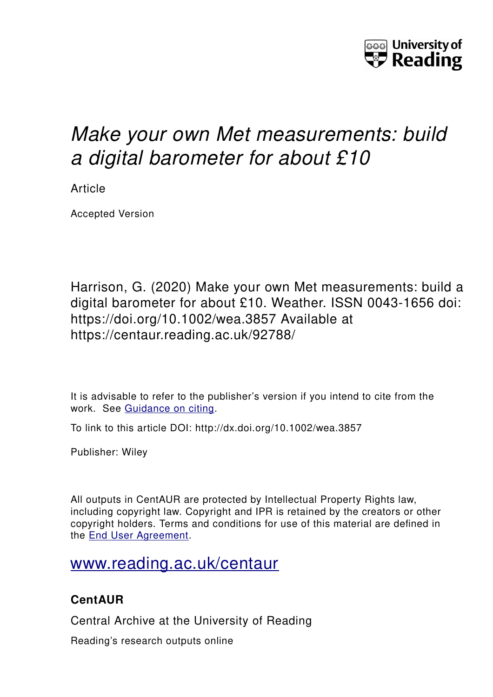

# *Make your own Met measurements: build a digital barometer for about £10*

Article

Accepted Version

Harrison, G. (2020) Make your own Met measurements: build a digital barometer for about £10. Weather. ISSN 0043-1656 doi: https://doi.org/10.1002/wea.3857 Available at https://centaur.reading.ac.uk/92788/

It is advisable to refer to the publisher's version if you intend to cite from the work. See [Guidance on citing.](http://centaur.reading.ac.uk/71187/10/CentAUR%20citing%20guide.pdf)

To link to this article DOI: http://dx.doi.org/10.1002/wea.3857

Publisher: Wiley

All outputs in CentAUR are protected by Intellectual Property Rights law, including copyright law. Copyright and IPR is retained by the creators or other copyright holders. Terms and conditions for use of this material are defined in the [End User Agreement.](http://centaur.reading.ac.uk/licence)

## [www.reading.ac.uk/centaur](http://www.reading.ac.uk/centaur)

### **CentAUR**

Central Archive at the University of Reading

Reading's research outputs online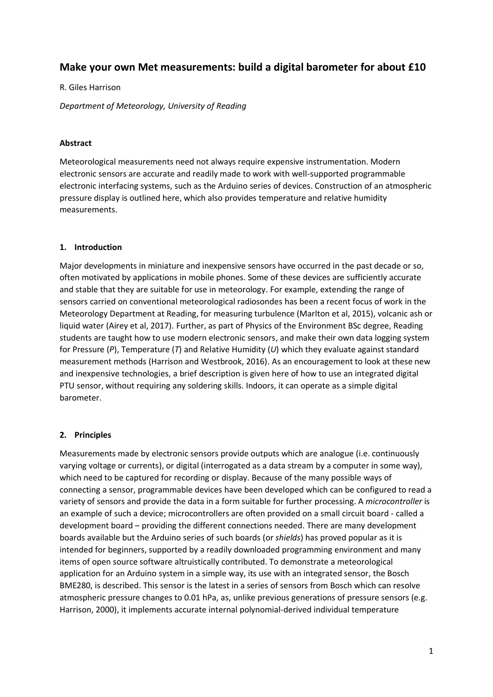#### **Make your own Met measurements: build a digital barometer for about £10**

#### R. Giles Harrison

*Department of Meteorology, University of Reading*

#### **Abstract**

Meteorological measurements need not always require expensive instrumentation. Modern electronic sensors are accurate and readily made to work with well-supported programmable electronic interfacing systems, such as the Arduino series of devices. Construction of an atmospheric pressure display is outlined here, which also provides temperature and relative humidity measurements.

#### **1. Introduction**

Major developments in miniature and inexpensive sensors have occurred in the past decade or so, often motivated by applications in mobile phones. Some of these devices are sufficiently accurate and stable that they are suitable for use in meteorology. For example, extending the range of sensors carried on conventional meteorological radiosondes has been a recent focus of work in the Meteorology Department at Reading, for measuring turbulence (Marlton et al, 2015), volcanic ash or liquid water (Airey et al, 2017). Further, as part of Physics of the Environment BSc degree, Reading students are taught how to use modern electronic sensors, and make their own data logging system for Pressure (*P*), Temperature (*T*) and Relative Humidity (*U*) which they evaluate against standard measurement methods (Harrison and Westbrook, 2016). As an encouragement to look at these new and inexpensive technologies, a brief description is given here of how to use an integrated digital PTU sensor, without requiring any soldering skills. Indoors, it can operate as a simple digital barometer.

#### **2. Principles**

Measurements made by electronic sensors provide outputs which are analogue (i.e. continuously varying voltage or currents), or digital (interrogated as a data stream by a computer in some way), which need to be captured for recording or display. Because of the many possible ways of connecting a sensor, programmable devices have been developed which can be configured to read a variety of sensors and provide the data in a form suitable for further processing. A *microcontroller* is an example of such a device; microcontrollers are often provided on a small circuit board - called a development board – providing the different connections needed. There are many development boards available but the Arduino series of such boards (or *shields*) has proved popular as it is intended for beginners, supported by a readily downloaded programming environment and many items of open source software altruistically contributed. To demonstrate a meteorological application for an Arduino system in a simple way, its use with an integrated sensor, the Bosch BME280, is described. This sensor is the latest in a series of sensors from Bosch which can resolve atmospheric pressure changes to 0.01 hPa, as, unlike previous generations of pressure sensors (e.g. Harrison, 2000), it implements accurate internal polynomial-derived individual temperature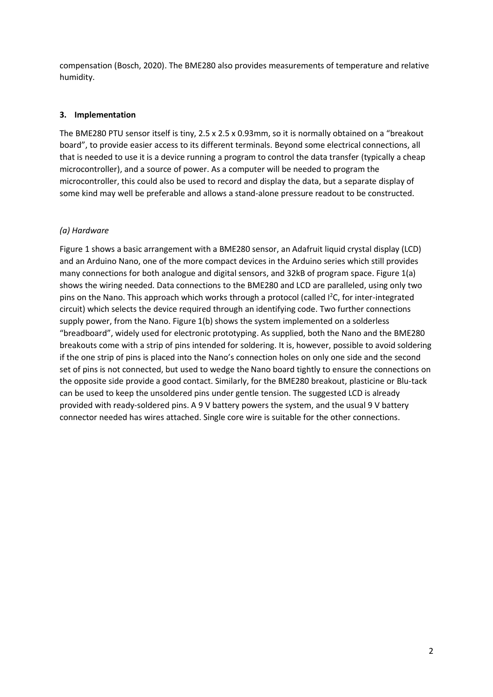compensation (Bosch, 2020). The BME280 also provides measurements of temperature and relative humidity.

#### **3. Implementation**

The BME280 PTU sensor itself is tiny, 2.5 x 2.5 x 0.93mm, so it is normally obtained on a "breakout board", to provide easier access to its different terminals. Beyond some electrical connections, all that is needed to use it is a device running a program to control the data transfer (typically a cheap microcontroller), and a source of power. As a computer will be needed to program the microcontroller, this could also be used to record and display the data, but a separate display of some kind may well be preferable and allows a stand-alone pressure readout to be constructed.

#### *(a) Hardware*

Figure 1 shows a basic arrangement with a BME280 sensor, an Adafruit liquid crystal display (LCD) and an Arduino Nano, one of the more compact devices in the Arduino series which still provides many connections for both analogue and digital sensors, and 32kB of program space. Figure 1(a) shows the wiring needed. Data connections to the BME280 and LCD are paralleled, using only two pins on the Nano. This approach which works through a protocol (called I<sup>2</sup>C, for inter-integrated circuit) which selects the device required through an identifying code. Two further connections supply power, from the Nano. Figure 1(b) shows the system implemented on a solderless "breadboard", widely used for electronic prototyping. As supplied, both the Nano and the BME280 breakouts come with a strip of pins intended for soldering. It is, however, possible to avoid soldering if the one strip of pins is placed into the Nano's connection holes on only one side and the second set of pins is not connected, but used to wedge the Nano board tightly to ensure the connections on the opposite side provide a good contact. Similarly, for the BME280 breakout, plasticine or Blu-tack can be used to keep the unsoldered pins under gentle tension. The suggested LCD is already provided with ready-soldered pins. A 9 V battery powers the system, and the usual 9 V battery connector needed has wires attached. Single core wire is suitable for the other connections.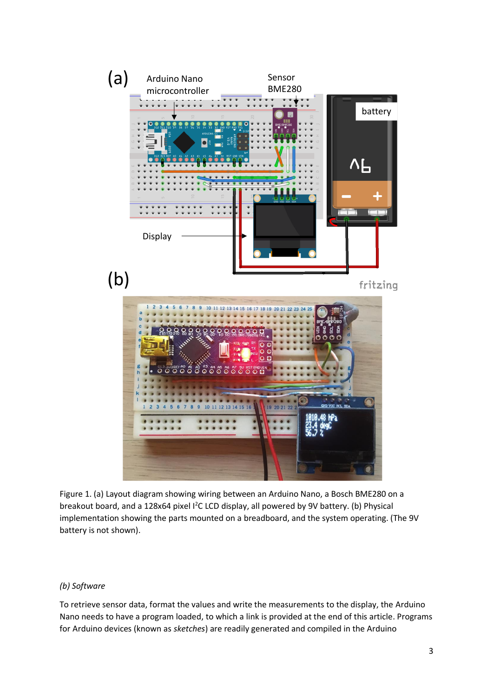

Figure 1. (a) Layout diagram showing wiring between an Arduino Nano, a Bosch BME280 on a breakout board, and a 128x64 pixel I<sup>2</sup>C LCD display, all powered by 9V battery. (b) Physical implementation showing the parts mounted on a breadboard, and the system operating. (The 9V battery is not shown).

#### *(b) Software*

To retrieve sensor data, format the values and write the measurements to the display, the Arduino Nano needs to have a program loaded, to which a link is provided at the end of this article. Programs for Arduino devices (known as *sketches*) are readily generated and compiled in the Arduino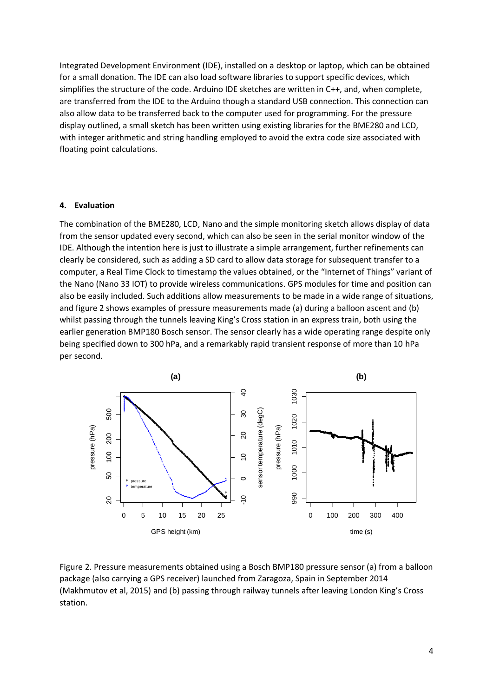Integrated Development Environment (IDE), installed on a desktop or laptop, which can be obtained for a small donation. The IDE can also load software libraries to support specific devices, which simplifies the structure of the code. Arduino IDE sketches are written in C++, and, when complete, are transferred from the IDE to the Arduino though a standard USB connection. This connection can also allow data to be transferred back to the computer used for programming. For the pressure display outlined, a small sketch has been written using existing libraries for the BME280 and LCD, with integer arithmetic and string handling employed to avoid the extra code size associated with floating point calculations.

#### **4. Evaluation**

The combination of the BME280, LCD, Nano and the simple monitoring sketch allows display of data from the sensor updated every second, which can also be seen in the serial monitor window of the IDE. Although the intention here is just to illustrate a simple arrangement, further refinements can clearly be considered, such as adding a SD card to allow data storage for subsequent transfer to a computer, a Real Time Clock to timestamp the values obtained, or the "Internet of Things" variant of the Nano (Nano 33 IOT) to provide wireless communications. GPS modules for time and position can also be easily included. Such additions allow measurements to be made in a wide range of situations, and figure 2 shows examples of pressure measurements made (a) during a balloon ascent and (b) whilst passing through the tunnels leaving King's Cross station in an express train, both using the earlier generation BMP180 Bosch sensor. The sensor clearly has a wide operating range despite only being specified down to 300 hPa, and a remarkably rapid transient response of more than 10 hPa per second.



Figure 2. Pressure measurements obtained using a Bosch BMP180 pressure sensor (a) from a balloon package (also carrying a GPS receiver) launched from Zaragoza, Spain in September 2014 (Makhmutov et al, 2015) and (b) passing through railway tunnels after leaving London King's Cross station.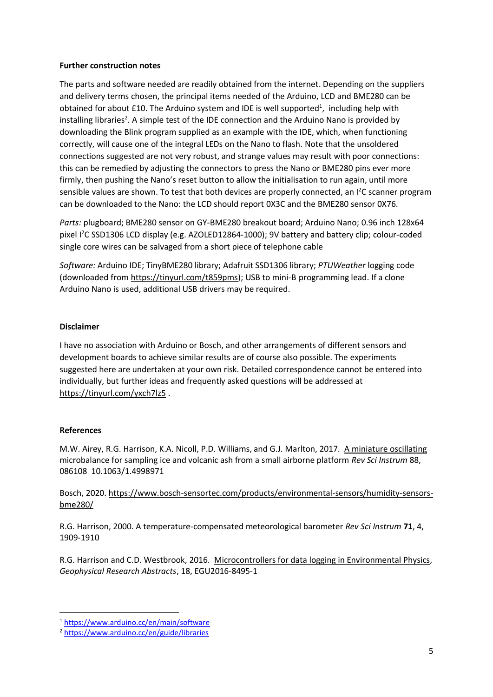#### **Further construction notes**

The parts and software needed are readily obtained from the internet. Depending on the suppliers and delivery terms chosen, the principal items needed of the Arduino, LCD and BME280 can be obtained for about £10. The Arduino system and IDE is well supported<sup>1</sup>, including help with installing libraries<sup>2</sup>. A simple test of the IDE connection and the Arduino Nano is provided by downloading the Blink program supplied as an example with the IDE, which, when functioning correctly, will cause one of the integral LEDs on the Nano to flash. Note that the unsoldered connections suggested are not very robust, and strange values may result with poor connections: this can be remedied by adjusting the connectors to press the Nano or BME280 pins ever more firmly, then pushing the Nano's reset button to allow the initialisation to run again, until more sensible values are shown. To test that both devices are properly connected, an I<sup>2</sup>C scanner program can be downloaded to the Nano: the LCD should report 0X3C and the BME280 sensor 0X76.

*Parts:* plugboard; BME280 sensor on GY-BME280 breakout board; Arduino Nano; 0.96 inch 128x64 pixel I <sup>2</sup>C SSD1306 LCD display (e.g. AZOLED12864-1000); 9V battery and battery clip; colour-coded single core wires can be salvaged from a short piece of telephone cable

*Software:* Arduino IDE; TinyBME280 library; Adafruit SSD1306 library; *PTUWeather* logging code (downloaded from [https://tinyurl.com/t859pms\)](https://tinyurl.com/t859pms); USB to mini-B programming lead. If a clone Arduino Nano is used, additional USB drivers may be required.

#### **Disclaimer**

I have no association with Arduino or Bosch, and other arrangements of different sensors and development boards to achieve similar results are of course also possible. The experiments suggested here are undertaken at your own risk. Detailed correspondence cannot be entered into individually, but further ideas and frequently asked questions will be addressed at <https://tinyurl.com/yxch7lz5> .

#### **References**

M.W. Airey, R.G. Harrison, K.A. Nicoll, P.D. Williams, and G.J. Marlton, 2017. [A miniature oscillating](http://dx.doi.org/10.1063/1.4998971)  [microbalance for sampling ice and volcanic ash from a small airborne platform](http://dx.doi.org/10.1063/1.4998971) *Rev Sci Instrum* 88, 086108 10.1063/1.4998971

Bosch, 2020. [https://www.bosch-sensortec.com/products/environmental-sensors/humidity-sensors](https://www.bosch-sensortec.com/products/environmental-sensors/humidity-sensors-bme280/)[bme280/](https://www.bosch-sensortec.com/products/environmental-sensors/humidity-sensors-bme280/)

R.G. Harrison, 2000. A temperature-compensated meteorological barometer *Rev Sci Instrum* **71**, 4, 1909-1910

R.G. Harrison and C.D. Westbrook, 2016. [Microcontrollers for data logging in Environmental Physics,](https://meetingorganizer.copernicus.org/EGU2016/EGU2016-8495-1.pdf) *Geophysical Research Abstracts*, 18, EGU2016-8495-1

<sup>1</sup> <https://www.arduino.cc/en/main/software>

<sup>2</sup> <https://www.arduino.cc/en/guide/libraries>